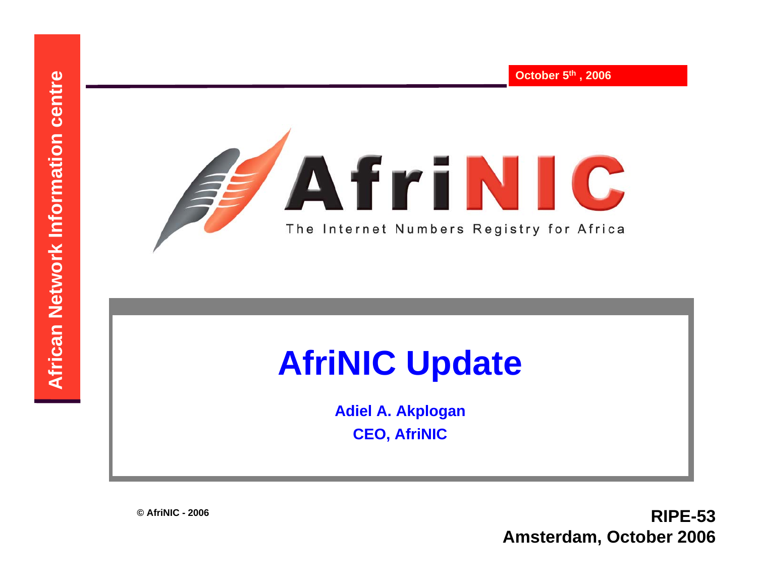

**Adiel A. Akplogan CEO, AfriNIC**

**© AfriNIC - 2006**

**RIPE-53 Amsterdam, October 2006**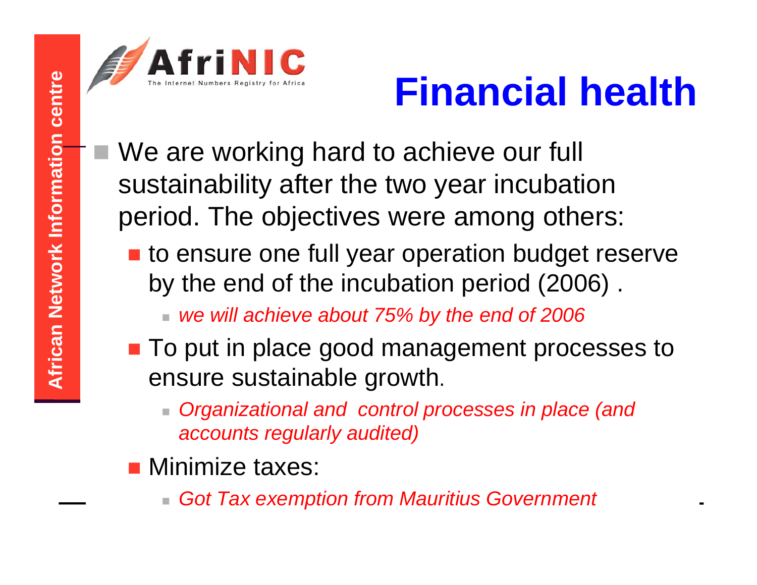

- **A Financial health**<br> **A Exercise 2018**<br> **A** We are working hard to achieve our full<br>
sustainability after the two year incubation<br>
period. The objectives were among others:<br> **A Exercise 2019**<br> **A Exercise 2019**<br> **A Exerci**  We are working hard to achieve our full sustainability after the two year incubation period. The objectives were among others:
	- **to ensure one full year operation budget reserve** by the end of the incubation period (2006) .

*we will achieve about 75% by the end of 2006*

- To put in place good management processes to ensure sustainable growth.
	- *Organizational and control processes in place (and accounts regularly audited)*
- **Ninimize taxes:** 
	- *Got Tax exemption from Mauritius Government*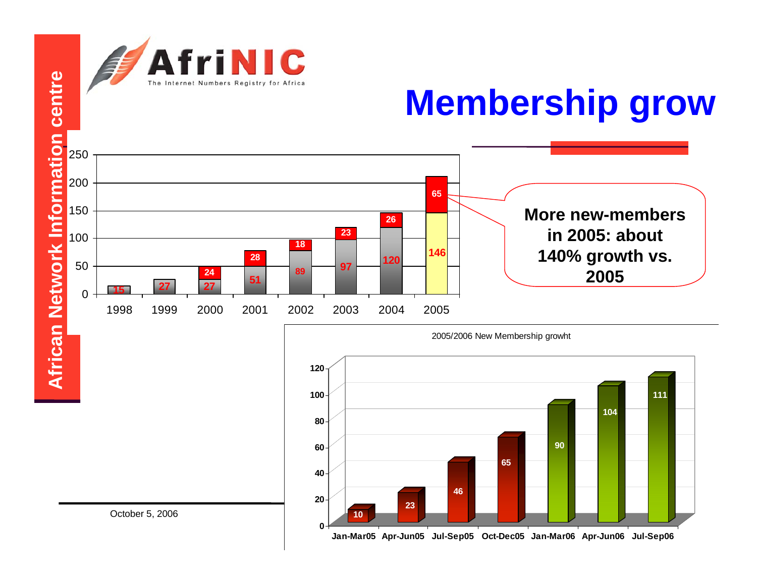



**Jan-Mar05 Apr-Jun05 Jul-Sep05 Oct-Dec05 Jan-Mar06 Apr-Jun06 Jul-Sep06**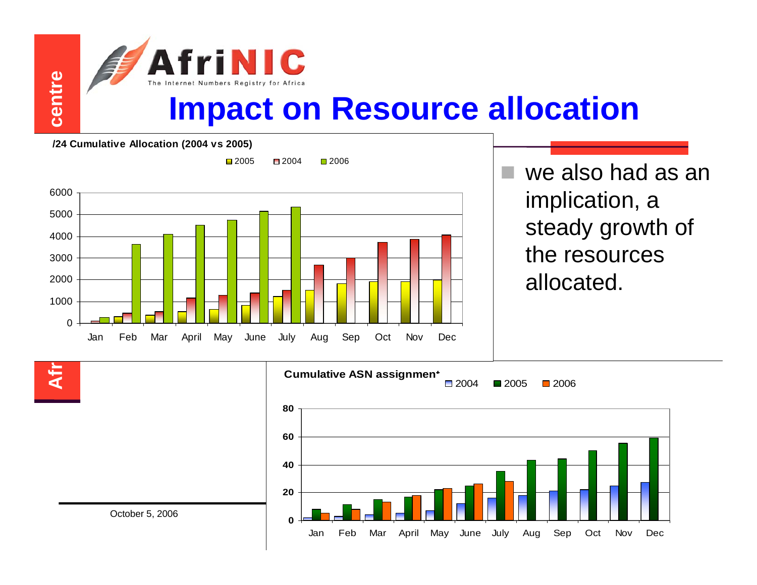

**/24 Cumulative Allocation (2004 vs 2005)**



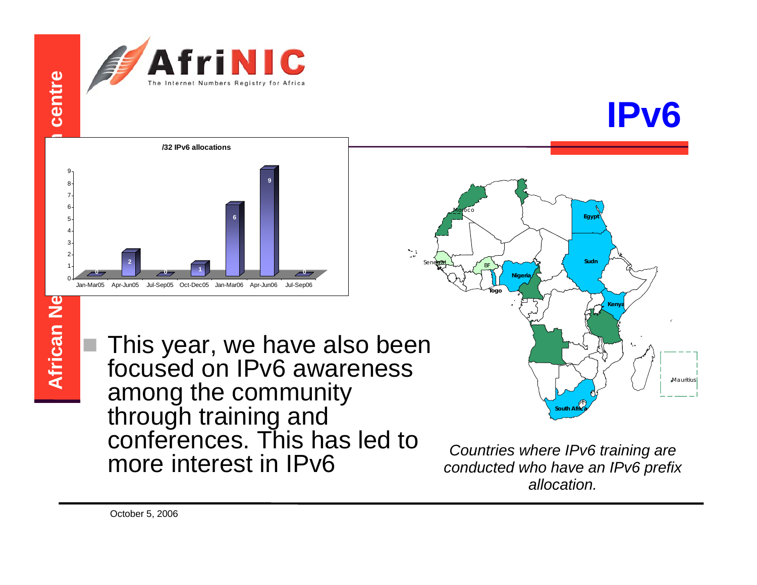



 This year, we have also been focused on IPv6 awareness among the community through training and conferences. This has led to more interest in IPv6

**Egyp** 

**Kenya**

Mauritit

**Sudn**

*Countries where IPv6 training are conducted who have an IPv6 prefix allocation.*

**South Africa**

Sene**gal** 

**Togo**

BF

Moroco

**Nigeria**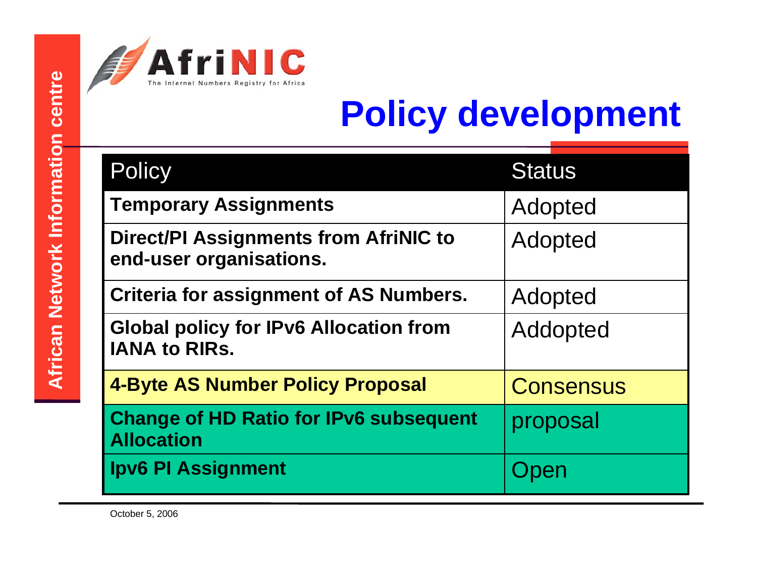

| centre                             | The Internet Numbers Registry for Africa<br><b>Policy development</b> |                                                                         |                  |
|------------------------------------|-----------------------------------------------------------------------|-------------------------------------------------------------------------|------------------|
|                                    |                                                                       | <b>Policy</b>                                                           | <b>Status</b>    |
|                                    |                                                                       | <b>Temporary Assignments</b>                                            | Adopted          |
|                                    |                                                                       | <b>Direct/PI Assignments from AfriNIC to</b><br>end-user organisations. | Adopted          |
| <b>African Network Information</b> |                                                                       | <b>Criteria for assignment of AS Numbers.</b>                           | Adopted          |
|                                    |                                                                       | <b>Global policy for IPv6 Allocation from</b><br><b>IANA to RIRS.</b>   | Addopted         |
|                                    |                                                                       | <b>4-Byte AS Number Policy Proposal</b>                                 | <b>Consensus</b> |
|                                    |                                                                       | <b>Change of HD Ratio for IPv6 subsequent</b><br><b>Allocation</b>      | proposal         |
|                                    |                                                                       | <b>Ipv6 PI Assignment</b>                                               | en               |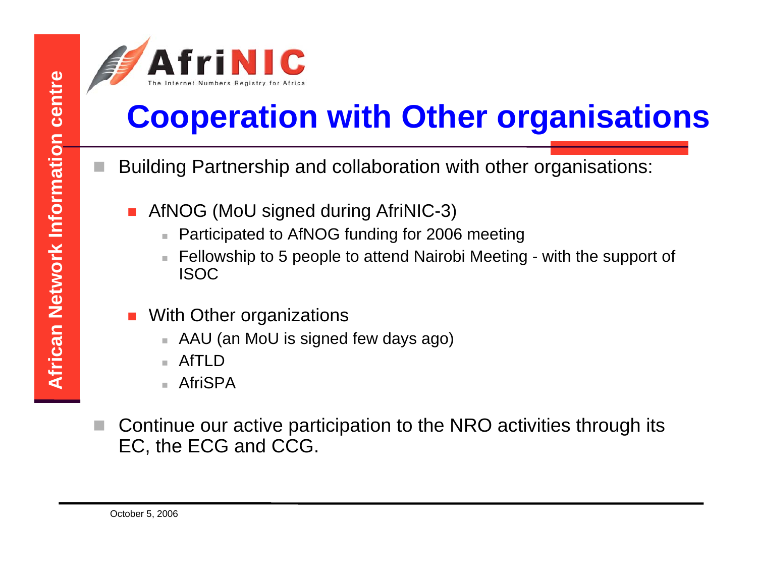

# **PRODUCT AFRICAN COOPERATION WITH OTHER ORGANISATIONS**<br> **AFRICAN BUILDING THE COOPERATION**<br> **AFRICAN AFRICAN AFRICAN AFTER COOPERATION**<br> **AFRICAN CENTRATION**<br> **AFFICID**<br> **AFRICID**<br> **AFFICID**<br> **AFFICID**<br> **AFFICID**<br> **AFFICID**

- Building Partnership and collaboration with other organisations:
	- П AfNOG (MoU signed during AfriNIC-3)
		- П Participated to AfNOG funding for 2006 meeting
		- Fellowship to 5 people to attend Nairobi Meeting with the support of ISOC
	- П With Other organizations
		- AAU (an MoU is signed few days ago)
		- П AfTI<sub>D</sub>
		- AfriSPA
- Continue our active participation to the NRO activities through its EC, the ECG and CCG.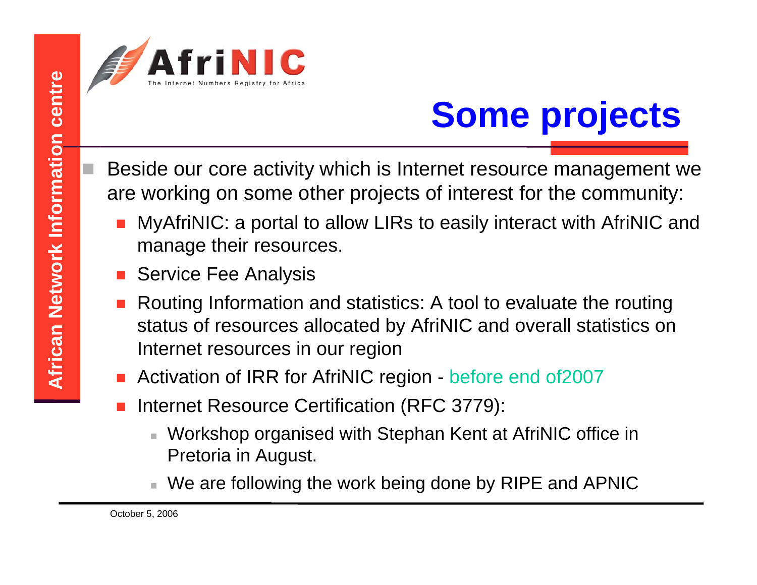Beside our core activity which is Internet resource management we are working on some other projects of interest for the community:

- MyAfriNIC: a portal to allow LIRs to easily interact with AfriNIC and manage their resources.
- П Service Fee Analysis
- **AFRICAN Some projects**<br>
Beside our core activity which is Internet resource management w<br>
are working on some other projects of interest for the community:<br> **AMAGE INTERE IN AFTINIC:** a portal to allow LIRs to easily inte П Routing Information and statistics: A tool to evaluate the routing status of resources allocated by AfriNIC and overall statistics on Internet resources in our region
	- Π Activation of IRR for AfriNIC region - before end of2007
	- Π Internet Resource Certification (RFC 3779):
		- Workshop organised with Stephan Kent at AfriNIC office in Pretoria in August.
		- We are following the work being done by RIPE and APNIC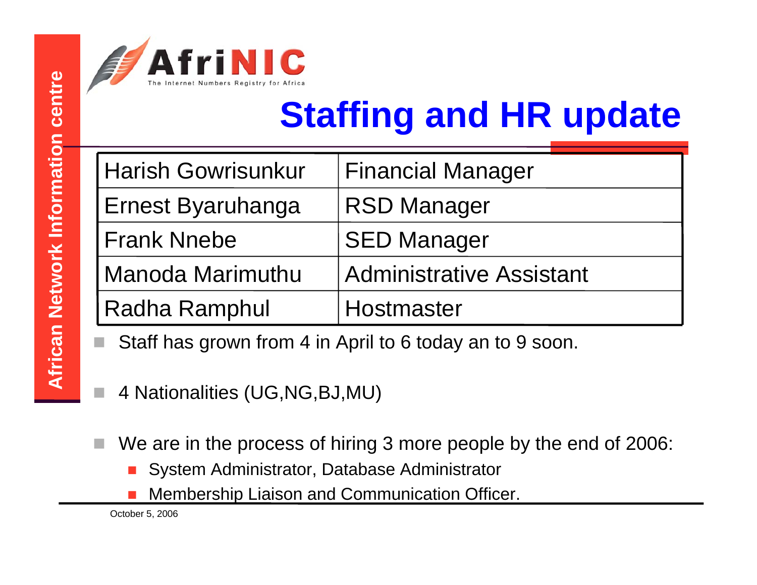

|                            | The Internet Numbers Registry for Africa<br><b>Staffing and HR update</b>                                                                                                                                                                                                                                                                                                                      |                                 |  |
|----------------------------|------------------------------------------------------------------------------------------------------------------------------------------------------------------------------------------------------------------------------------------------------------------------------------------------------------------------------------------------------------------------------------------------|---------------------------------|--|
| centre                     |                                                                                                                                                                                                                                                                                                                                                                                                |                                 |  |
| frican Network Information | <b>Harish Gowrisunkur</b>                                                                                                                                                                                                                                                                                                                                                                      | <b>Financial Manager</b>        |  |
|                            | Ernest Byaruhanga                                                                                                                                                                                                                                                                                                                                                                              | <b>RSD Manager</b>              |  |
|                            | <b>Frank Nnebe</b>                                                                                                                                                                                                                                                                                                                                                                             | <b>SED Manager</b>              |  |
|                            | Manoda Marimuthu                                                                                                                                                                                                                                                                                                                                                                               | <b>Administrative Assistant</b> |  |
|                            | <b>Radha Ramphul</b><br>Hostmaster                                                                                                                                                                                                                                                                                                                                                             |                                 |  |
|                            | Staff has grown from 4 in April to 6 today an to 9 soon.<br>$\overline{A}$ and $\overline{A}$ and $\overline{A}$ and $\overline{A}$ and $\overline{A}$ and $\overline{A}$ and $\overline{A}$ and $\overline{A}$ and $\overline{A}$ and $\overline{A}$ and $\overline{A}$ and $\overline{A}$ and $\overline{A}$ and $\overline{A}$ and $\overline{A}$ and $\overline{A}$ and $\overline{A}$ and |                                 |  |
|                            |                                                                                                                                                                                                                                                                                                                                                                                                |                                 |  |

- Staff has grown from 4 in April to 6 today an to 9 soon.
- 4 Nationalities (UG,NG,BJ,MU)
- П We are in the process of hiring 3 more people by the end of 2006:
	- $\Box$ System Administrator, Database Administrator
	- П Membership Liaison and Communication Officer.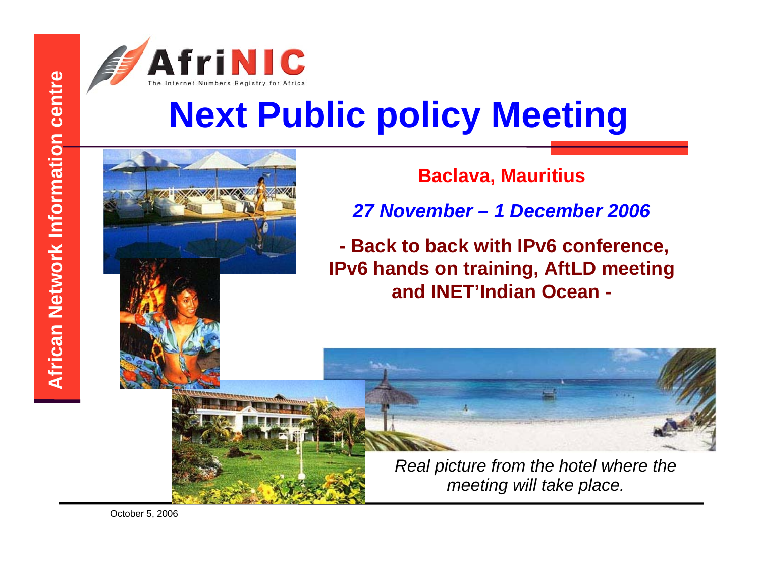



*Real picture from the hotel where the meeting will take place.*